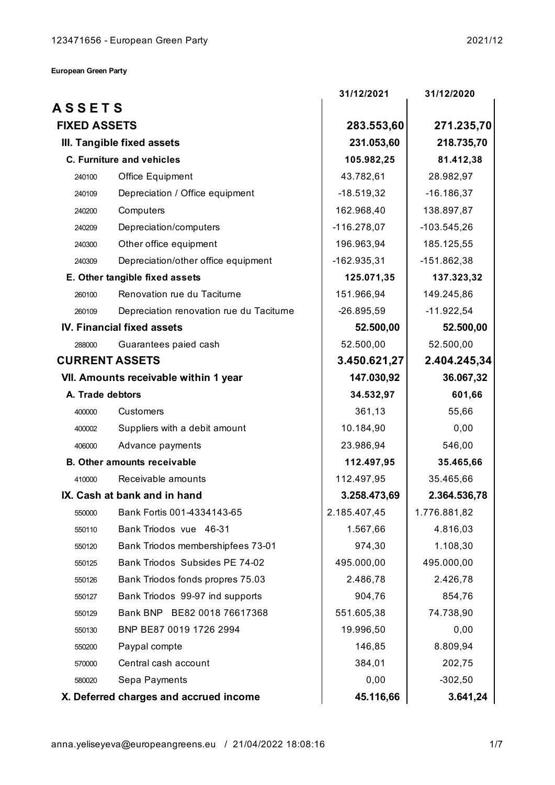**European Green Party**

|                                        |                                          | 31/12/2021    | 31/12/2020    |
|----------------------------------------|------------------------------------------|---------------|---------------|
| <b>ASSETS</b>                          |                                          |               |               |
| <b>FIXED ASSETS</b>                    |                                          | 283.553,60    | 271.235,70    |
| III. Tangible fixed assets             |                                          | 231.053,60    | 218.735,70    |
| <b>C. Furniture and vehicles</b>       |                                          | 105.982,25    | 81.412,38     |
| Office Equipment<br>240100             |                                          | 43.782,61     | 28.982,97     |
| 240109                                 | Depreciation / Office equipment          | $-18.519,32$  | $-16.186, 37$ |
| Computers<br>240200                    |                                          | 162.968,40    | 138.897,87    |
| Depreciation/computers<br>240209       |                                          | $-116.278,07$ | $-103.545,26$ |
| Other office equipment<br>240300       |                                          | 196.963,94    | 185.125,55    |
| 240309                                 | Depreciation/other office equipment      | $-162.935,31$ | $-151.862,38$ |
| E. Other tangible fixed assets         |                                          | 125.071,35    | 137.323,32    |
| 260100                                 | Renovation rue du Taciturne              | 151.966,94    | 149.245,86    |
| 260109                                 | Depreciation renovation rue du Taciturne | $-26.895,59$  | $-11.922,54$  |
| <b>IV. Financial fixed assets</b>      |                                          | 52.500,00     | 52.500,00     |
| Guarantees paied cash<br>288000        |                                          | 52.500,00     | 52.500,00     |
| <b>CURRENT ASSETS</b>                  |                                          | 3.450.621,27  | 2.404.245,34  |
| VII. Amounts receivable within 1 year  |                                          | 147.030,92    | 36.067,32     |
| A. Trade debtors                       |                                          | 34.532,97     | 601,66        |
| Customers<br>400000                    |                                          | 361,13        | 55,66         |
| 400002                                 | Suppliers with a debit amount            | 10.184,90     | 0,00          |
| Advance payments<br>406000             |                                          | 23.986,94     | 546,00        |
| <b>B. Other amounts receivable</b>     |                                          | 112.497,95    | 35.465,66     |
| Receivable amounts<br>410000           |                                          | 112.497,95    | 35.465,66     |
| IX. Cash at bank and in hand           |                                          | 3.258.473,69  | 2.364.536,78  |
| 550000                                 | Bank Fortis 001-4334143-65               | 2.185.407,45  | 1.776.881,82  |
| Bank Triodos vue 46-31<br>550110       |                                          | 1.567,66      | 4.816,03      |
| 550120                                 | Bank Triodos membershipfees 73-01        | 974,30        | 1.108,30      |
| 550125                                 | Bank Triodos Subsides PE 74-02           | 495.000,00    | 495.000,00    |
| 550126                                 | Bank Triodos fonds propres 75.03         | 2.486,78      | 2.426,78      |
| 550127                                 | Bank Triodos 99-97 ind supports          | 904,76        | 854,76        |
| 550129                                 | Bank BNP BE82 0018 76617368              | 551.605,38    | 74.738,90     |
| 550130                                 | BNP BE87 0019 1726 2994                  | 19.996,50     | 0,00          |
| Paypal compte<br>550200                |                                          | 146,85        | 8.809,94      |
| Central cash account<br>570000         |                                          | 384,01        | 202,75        |
| Sepa Payments<br>580020                |                                          | 0,00          | $-302,50$     |
| X. Deferred charges and accrued income |                                          | 45.116,66     | 3.641,24      |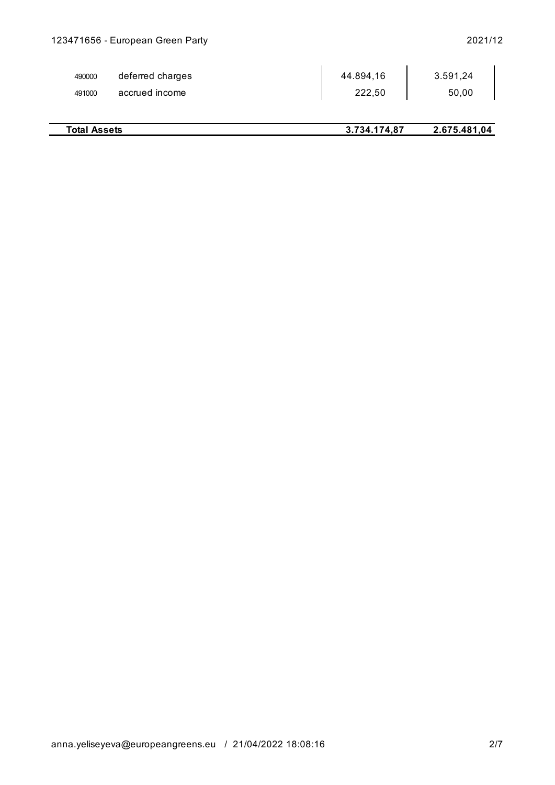÷,

| 490000 | deferred charges | 44.894,16 | 3.591,24 |
|--------|------------------|-----------|----------|
| 491000 | accrued income   | 222,50    | 50,00    |

| <b>Total Assets</b> | 3.734.174,87 | 2.675.481,04 |
|---------------------|--------------|--------------|
|                     |              |              |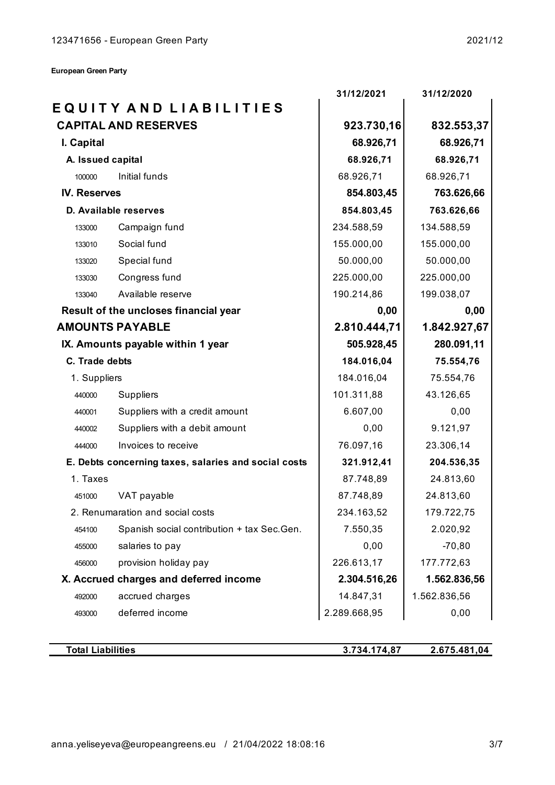**European Green Party**

| EQUITY AND LIABILITIES                     |                                                                                                                                                                                                                                                             |                                          |
|--------------------------------------------|-------------------------------------------------------------------------------------------------------------------------------------------------------------------------------------------------------------------------------------------------------------|------------------------------------------|
|                                            |                                                                                                                                                                                                                                                             |                                          |
| <b>CAPITAL AND RESERVES</b>                | 923.730,16                                                                                                                                                                                                                                                  | 832.553,37                               |
|                                            | 68.926,71                                                                                                                                                                                                                                                   | 68.926,71                                |
|                                            | 68.926,71                                                                                                                                                                                                                                                   | 68.926,71                                |
| Initial funds                              | 68.926,71                                                                                                                                                                                                                                                   | 68.926,71                                |
| <b>IV. Reserves</b>                        |                                                                                                                                                                                                                                                             | 763.626,66                               |
|                                            | 854.803,45                                                                                                                                                                                                                                                  | 763.626,66                               |
| Campaign fund                              | 234.588,59                                                                                                                                                                                                                                                  | 134.588,59                               |
| Social fund                                | 155.000,00                                                                                                                                                                                                                                                  | 155.000,00                               |
| Special fund                               | 50.000,00                                                                                                                                                                                                                                                   | 50.000,00                                |
| Congress fund                              | 225.000,00                                                                                                                                                                                                                                                  | 225.000,00                               |
| Available reserve                          | 190.214,86                                                                                                                                                                                                                                                  | 199.038,07                               |
|                                            | 0,00                                                                                                                                                                                                                                                        | 0,00                                     |
| <b>AMOUNTS PAYABLE</b>                     |                                                                                                                                                                                                                                                             | 1.842.927,67                             |
| IX. Amounts payable within 1 year          |                                                                                                                                                                                                                                                             | 280.091,11                               |
|                                            | 184.016,04                                                                                                                                                                                                                                                  | 75.554,76                                |
|                                            | 184.016,04                                                                                                                                                                                                                                                  | 75.554,76                                |
| <b>Suppliers</b>                           | 101.311,88                                                                                                                                                                                                                                                  | 43.126,65                                |
| Suppliers with a credit amount             | 6.607,00                                                                                                                                                                                                                                                    | 0,00                                     |
| Suppliers with a debit amount              | 0,00                                                                                                                                                                                                                                                        | 9.121,97                                 |
| Invoices to receive                        | 76.097,16                                                                                                                                                                                                                                                   | 23.306,14                                |
|                                            | 321.912,41                                                                                                                                                                                                                                                  | 204.536,35                               |
|                                            | 87.748,89                                                                                                                                                                                                                                                   | 24.813,60                                |
| VAT payable                                | 87.748,89                                                                                                                                                                                                                                                   | 24.813,60                                |
|                                            | 234.163,52                                                                                                                                                                                                                                                  | 179.722,75                               |
| Spanish social contribution + tax Sec.Gen. | 7.550,35                                                                                                                                                                                                                                                    | 2.020,92                                 |
| salaries to pay                            | 0,00                                                                                                                                                                                                                                                        | $-70,80$                                 |
| provision holiday pay                      | 226.613,17                                                                                                                                                                                                                                                  | 177.772,63                               |
|                                            | 2.304.516,26                                                                                                                                                                                                                                                | 1.562.836,56                             |
| accrued charges                            | 14.847,31                                                                                                                                                                                                                                                   | 1.562.836,56                             |
| deferred income                            | 2.289.668,95                                                                                                                                                                                                                                                | 0,00                                     |
|                                            | A. Issued capital<br>D. Available reserves<br>Result of the uncloses financial year<br>C. Trade debts<br>1. Suppliers<br>E. Debts concerning taxes, salaries and social costs<br>2. Renumaration and social costs<br>X. Accrued charges and deferred income | 854.803,45<br>2.810.444,71<br>505.928,45 |

**Total Liabilities**

**3.734.174,87 2.675.481,04**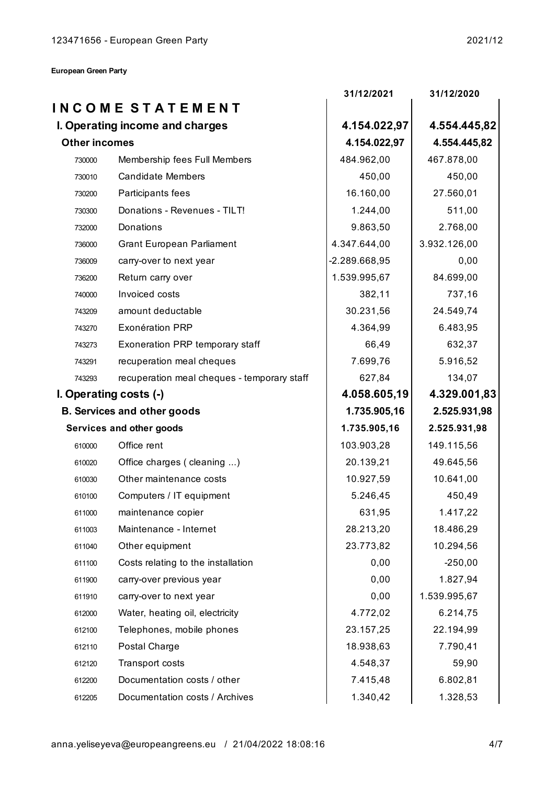|                                 |                                             | 31/12/2021    | 31/12/2020   |
|---------------------------------|---------------------------------------------|---------------|--------------|
|                                 | <b>INCOME STATEMENT</b>                     |               |              |
| I. Operating income and charges |                                             | 4.154.022,97  | 4.554.445,82 |
| <b>Other incomes</b>            |                                             | 4.154.022,97  | 4.554.445,82 |
| 730000                          | Membership fees Full Members                | 484.962,00    | 467.878,00   |
| 730010                          | <b>Candidate Members</b>                    | 450,00        | 450,00       |
| 730200                          | Participants fees                           | 16.160,00     | 27.560,01    |
| 730300                          | Donations - Revenues - TILT!                | 1.244,00      | 511,00       |
| 732000                          | Donations                                   | 9.863,50      | 2.768,00     |
| 736000                          | <b>Grant European Parliament</b>            | 4.347.644,00  | 3.932.126,00 |
| 736009                          | carry-over to next year                     | -2.289.668,95 | 0,00         |
| 736200                          | Return carry over                           | 1.539.995,67  | 84.699,00    |
| 740000                          | Invoiced costs                              | 382,11        | 737,16       |
| 743209                          | amount deductable                           | 30.231,56     | 24.549,74    |
| 743270                          | <b>Exonération PRP</b>                      | 4.364,99      | 6.483,95     |
| 743273                          | Exoneration PRP temporary staff             | 66,49         | 632,37       |
| 743291                          | recuperation meal cheques                   | 7.699,76      | 5.916,52     |
| 743293                          | recuperation meal cheques - temporary staff | 627,84        | 134,07       |
|                                 | I. Operating costs (-)                      | 4.058.605,19  | 4.329.001,83 |
|                                 | <b>B. Services and other goods</b>          | 1.735.905,16  | 2.525.931,98 |
|                                 | Services and other goods                    | 1.735.905,16  | 2.525.931,98 |
| 610000                          | Office rent                                 | 103.903,28    | 149.115,56   |
| 610020                          | Office charges (cleaning )                  | 20.139,21     | 49.645,56    |
| 610030                          | Other maintenance costs                     | 10.927,59     | 10.641,00    |
| 610100                          | Computers / IT equipment                    | 5.246,45      | 450,49       |
| 611000                          | maintenance copier                          | 631,95        | 1.417,22     |
| 611003                          | Maintenance - Internet                      | 28.213,20     | 18.486,29    |
| 611040                          | Other equipment                             | 23.773,82     | 10.294,56    |
| 611100                          | Costs relating to the installation          | 0,00          | $-250,00$    |
| 611900                          | carry-over previous year                    | 0,00          | 1.827,94     |
| 611910                          | carry-over to next year                     | 0,00          | 1.539.995,67 |
| 612000                          | Water, heating oil, electricity             | 4.772,02      | 6.214,75     |
| 612100                          | Telephones, mobile phones                   | 23.157,25     | 22.194,99    |
| 612110                          | Postal Charge                               | 18.938,63     | 7.790,41     |
| 612120                          | Transport costs                             | 4.548,37      | 59,90        |
| 612200                          | Documentation costs / other                 | 7.415,48      | 6.802,81     |
| 612205                          | Documentation costs / Archives              | 1.340,42      | 1.328,53     |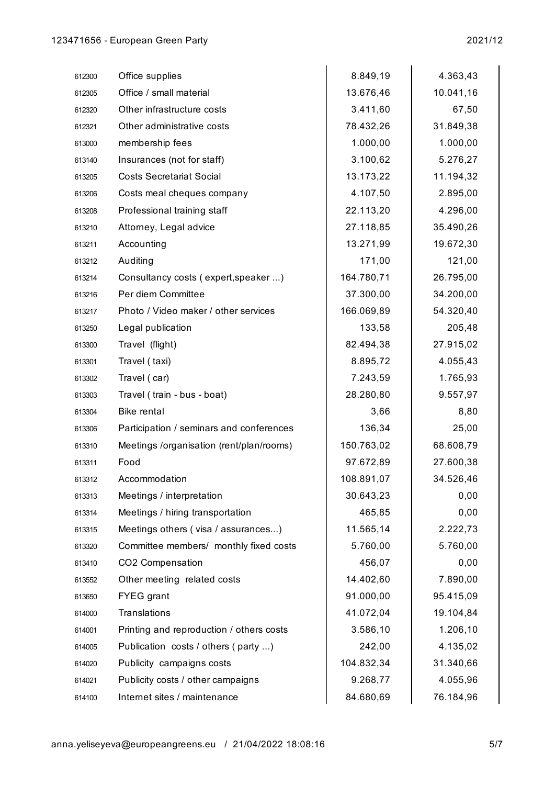l.

 $\ddot{\phantom{a}}$ 

| 612300 | Office supplies                          | 8.849,19   | 4.363,43  |
|--------|------------------------------------------|------------|-----------|
| 612305 | Office / small material                  | 13.676,46  | 10.041,16 |
| 612320 | Other infrastructure costs               | 3.411,60   | 67,50     |
| 612321 | Other administrative costs               | 78.432,26  | 31.849,38 |
| 613000 | membership fees                          | 1.000,00   | 1.000,00  |
| 613140 | Insurances (not for staff)               | 3.100,62   | 5.276,27  |
| 613205 | <b>Costs Secretariat Social</b>          | 13.173,22  | 11.194,32 |
| 613206 | Costs meal cheques company               | 4.107,50   | 2.895,00  |
| 613208 | Professional training staff              | 22.113,20  | 4.296,00  |
| 613210 | Attorney, Legal advice                   | 27.118,85  | 35.490,26 |
| 613211 | Accounting                               | 13.271,99  | 19.672,30 |
| 613212 | Auditing                                 | 171,00     | 121,00    |
| 613214 | Consultancy costs (expert, speaker )     | 164.780,71 | 26.795,00 |
| 613216 | Per diem Committee                       | 37.300,00  | 34.200,00 |
| 613217 | Photo / Video maker / other services     | 166.069,89 | 54.320,40 |
| 613250 | Legal publication                        | 133,58     | 205,48    |
| 613300 | Travel (flight)                          | 82.494,38  | 27.915,02 |
| 613301 | Travel (taxi)                            | 8.895,72   | 4.055,43  |
| 613302 | Travel (car)                             | 7.243,59   | 1.765,93  |
| 613303 | Travel (train - bus - boat)              | 28.280,80  | 9.557,97  |
| 613304 | <b>Bike rental</b>                       | 3,66       | 8,80      |
| 613306 | Participation / seminars and conferences | 136,34     | 25,00     |
| 613310 | Meetings /organisation (rent/plan/rooms) | 150.763,02 | 68.608,79 |
| 613311 | Food                                     | 97.672,89  | 27.600,38 |
| 613312 | Accommodation                            | 108.891,07 | 34.526,46 |
| 613313 | Meetings / interpretation                | 30.643,23  | 0,00      |
| 613314 | Meetings / hiring transportation         | 465,85     | 0,00      |
| 613315 | Meetings others (visa / assurances)      | 11.565,14  | 2.222,73  |
| 613320 | Committee members/ monthly fixed costs   | 5.760,00   | 5.760,00  |
| 613410 | CO2 Compensation                         | 456,07     | 0,00      |
| 613552 | Other meeting related costs              | 14.402,60  | 7.890,00  |
| 613650 | <b>FYEG</b> grant                        | 91.000,00  | 95.415,09 |
| 614000 | Translations                             | 41.072,04  | 19.104,84 |
| 614001 | Printing and reproduction / others costs | 3.586,10   | 1.206,10  |
| 614005 | Publication costs / others (party )      | 242,00     | 4.135,02  |
| 614020 | Publicity campaigns costs                | 104.832,34 | 31.340,66 |
| 614021 | Publicity costs / other campaigns        | 9.268,77   | 4.055,96  |
| 614100 | Internet sites / maintenance             | 84.680,69  | 76.184,96 |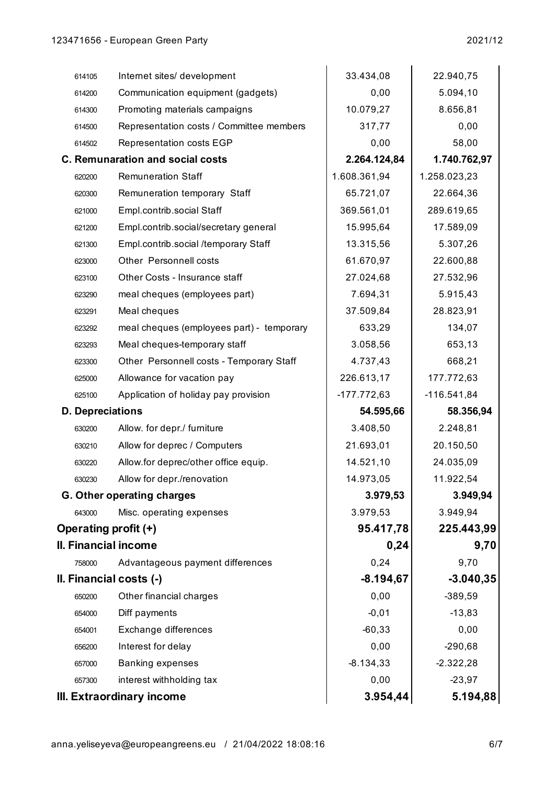| 0,00<br>Communication equipment (gadgets)<br>5.094,10<br>614200<br>10.079,27<br>8.656,81<br>Promoting materials campaigns<br>614300<br>0,00<br>Representation costs / Committee members<br>317,77<br>614500<br>0,00<br>Representation costs EGP<br>58,00<br>614502<br><b>C. Remunaration and social costs</b><br>2.264.124,84<br>1.740.762,97<br><b>Remuneration Staff</b><br>1.608.361,94<br>1.258.023,23<br>620200<br>65.721,07<br>Remuneration temporary Staff<br>22.664,36<br>620300<br>Empl.contrib.social Staff<br>369.561,01<br>289.619,65<br>621000<br>Empl.contrib.social/secretary general<br>15.995,64<br>17.589,09<br>621200<br>Empl.contrib.social /temporary Staff<br>13.315,56<br>5.307,26<br>621300<br>Other Personnell costs<br>61.670,97<br>22.600,88<br>623000<br>Other Costs - Insurance staff<br>27.024,68<br>27.532,96<br>623100<br>5.915,43<br>meal cheques (employees part)<br>7.694,31<br>623290<br>37.509,84<br>Meal cheques<br>28.823,91<br>623291<br>meal cheques (employees part) - temporary<br>633,29<br>134,07<br>623292<br>Meal cheques-temporary staff<br>3.058,56<br>653,13<br>623293<br>Other Personnell costs - Temporary Staff<br>4.737,43<br>668,21<br>623300<br>177.772,63<br>Allowance for vacation pay<br>226.613,17<br>625000<br>$-116.541,84$<br>Application of holiday pay provision<br>$-177.772,63$<br>625100<br>54.595,66<br>58.356,94<br><b>D.</b> Depreciations<br>3.408,50<br>2.248,81<br>Allow. for depr./ furniture<br>630200<br>Allow for deprec / Computers<br>21.693,01<br>20.150,50<br>630210<br>Allow.for deprec/other office equip.<br>14.521,10<br>24.035,09<br>630220<br>11.922,54<br>Allow for depr./renovation<br>14.973,05<br>630230<br>3.979,53<br>3.949,94<br><b>G. Other operating charges</b><br>3.979,53<br>3.949,94<br>Misc. operating expenses<br>643000<br>95.417,78<br>225.443,99<br>Operating profit (+)<br>II. Financial income<br>0,24<br>9,70<br>0,24<br>9,70<br>Advantageous payment differences<br>758000<br>$-8.194,67$<br>II. Financial costs (-)<br>0,00<br>Other financial charges<br>$-389,59$<br>650200<br>$-13,83$<br>Diff payments<br>$-0,01$<br>654000<br>Exchange differences<br>$-60,33$<br>0,00<br>654001<br>0,00<br>$-290,68$<br>Interest for delay<br>656200<br>$-8.134,33$<br><b>Banking expenses</b><br>$-2.322,28$<br>657000<br>0,00<br>$-23,97$<br>interest withholding tax<br>657300<br>3.954,44<br>III. Extraordinary income |        |                             |           |             |
|---------------------------------------------------------------------------------------------------------------------------------------------------------------------------------------------------------------------------------------------------------------------------------------------------------------------------------------------------------------------------------------------------------------------------------------------------------------------------------------------------------------------------------------------------------------------------------------------------------------------------------------------------------------------------------------------------------------------------------------------------------------------------------------------------------------------------------------------------------------------------------------------------------------------------------------------------------------------------------------------------------------------------------------------------------------------------------------------------------------------------------------------------------------------------------------------------------------------------------------------------------------------------------------------------------------------------------------------------------------------------------------------------------------------------------------------------------------------------------------------------------------------------------------------------------------------------------------------------------------------------------------------------------------------------------------------------------------------------------------------------------------------------------------------------------------------------------------------------------------------------------------------------------------------------------------------------------------------------------------------------------------------------------------------------------------------------------------------------------------------------------------------------------------------------------------------------------------------------------------------------------------------------------------------------------------------------------------------------------------------------------------------------------------------------------|--------|-----------------------------|-----------|-------------|
|                                                                                                                                                                                                                                                                                                                                                                                                                                                                                                                                                                                                                                                                                                                                                                                                                                                                                                                                                                                                                                                                                                                                                                                                                                                                                                                                                                                                                                                                                                                                                                                                                                                                                                                                                                                                                                                                                                                                                                                                                                                                                                                                                                                                                                                                                                                                                                                                                                 | 614105 | Internet sites/ development | 33.434,08 | 22.940,75   |
|                                                                                                                                                                                                                                                                                                                                                                                                                                                                                                                                                                                                                                                                                                                                                                                                                                                                                                                                                                                                                                                                                                                                                                                                                                                                                                                                                                                                                                                                                                                                                                                                                                                                                                                                                                                                                                                                                                                                                                                                                                                                                                                                                                                                                                                                                                                                                                                                                                 |        |                             |           |             |
|                                                                                                                                                                                                                                                                                                                                                                                                                                                                                                                                                                                                                                                                                                                                                                                                                                                                                                                                                                                                                                                                                                                                                                                                                                                                                                                                                                                                                                                                                                                                                                                                                                                                                                                                                                                                                                                                                                                                                                                                                                                                                                                                                                                                                                                                                                                                                                                                                                 |        |                             |           |             |
|                                                                                                                                                                                                                                                                                                                                                                                                                                                                                                                                                                                                                                                                                                                                                                                                                                                                                                                                                                                                                                                                                                                                                                                                                                                                                                                                                                                                                                                                                                                                                                                                                                                                                                                                                                                                                                                                                                                                                                                                                                                                                                                                                                                                                                                                                                                                                                                                                                 |        |                             |           |             |
|                                                                                                                                                                                                                                                                                                                                                                                                                                                                                                                                                                                                                                                                                                                                                                                                                                                                                                                                                                                                                                                                                                                                                                                                                                                                                                                                                                                                                                                                                                                                                                                                                                                                                                                                                                                                                                                                                                                                                                                                                                                                                                                                                                                                                                                                                                                                                                                                                                 |        |                             |           |             |
|                                                                                                                                                                                                                                                                                                                                                                                                                                                                                                                                                                                                                                                                                                                                                                                                                                                                                                                                                                                                                                                                                                                                                                                                                                                                                                                                                                                                                                                                                                                                                                                                                                                                                                                                                                                                                                                                                                                                                                                                                                                                                                                                                                                                                                                                                                                                                                                                                                 |        |                             |           |             |
|                                                                                                                                                                                                                                                                                                                                                                                                                                                                                                                                                                                                                                                                                                                                                                                                                                                                                                                                                                                                                                                                                                                                                                                                                                                                                                                                                                                                                                                                                                                                                                                                                                                                                                                                                                                                                                                                                                                                                                                                                                                                                                                                                                                                                                                                                                                                                                                                                                 |        |                             |           |             |
|                                                                                                                                                                                                                                                                                                                                                                                                                                                                                                                                                                                                                                                                                                                                                                                                                                                                                                                                                                                                                                                                                                                                                                                                                                                                                                                                                                                                                                                                                                                                                                                                                                                                                                                                                                                                                                                                                                                                                                                                                                                                                                                                                                                                                                                                                                                                                                                                                                 |        |                             |           |             |
|                                                                                                                                                                                                                                                                                                                                                                                                                                                                                                                                                                                                                                                                                                                                                                                                                                                                                                                                                                                                                                                                                                                                                                                                                                                                                                                                                                                                                                                                                                                                                                                                                                                                                                                                                                                                                                                                                                                                                                                                                                                                                                                                                                                                                                                                                                                                                                                                                                 |        |                             |           |             |
|                                                                                                                                                                                                                                                                                                                                                                                                                                                                                                                                                                                                                                                                                                                                                                                                                                                                                                                                                                                                                                                                                                                                                                                                                                                                                                                                                                                                                                                                                                                                                                                                                                                                                                                                                                                                                                                                                                                                                                                                                                                                                                                                                                                                                                                                                                                                                                                                                                 |        |                             |           |             |
|                                                                                                                                                                                                                                                                                                                                                                                                                                                                                                                                                                                                                                                                                                                                                                                                                                                                                                                                                                                                                                                                                                                                                                                                                                                                                                                                                                                                                                                                                                                                                                                                                                                                                                                                                                                                                                                                                                                                                                                                                                                                                                                                                                                                                                                                                                                                                                                                                                 |        |                             |           |             |
|                                                                                                                                                                                                                                                                                                                                                                                                                                                                                                                                                                                                                                                                                                                                                                                                                                                                                                                                                                                                                                                                                                                                                                                                                                                                                                                                                                                                                                                                                                                                                                                                                                                                                                                                                                                                                                                                                                                                                                                                                                                                                                                                                                                                                                                                                                                                                                                                                                 |        |                             |           |             |
|                                                                                                                                                                                                                                                                                                                                                                                                                                                                                                                                                                                                                                                                                                                                                                                                                                                                                                                                                                                                                                                                                                                                                                                                                                                                                                                                                                                                                                                                                                                                                                                                                                                                                                                                                                                                                                                                                                                                                                                                                                                                                                                                                                                                                                                                                                                                                                                                                                 |        |                             |           |             |
|                                                                                                                                                                                                                                                                                                                                                                                                                                                                                                                                                                                                                                                                                                                                                                                                                                                                                                                                                                                                                                                                                                                                                                                                                                                                                                                                                                                                                                                                                                                                                                                                                                                                                                                                                                                                                                                                                                                                                                                                                                                                                                                                                                                                                                                                                                                                                                                                                                 |        |                             |           |             |
|                                                                                                                                                                                                                                                                                                                                                                                                                                                                                                                                                                                                                                                                                                                                                                                                                                                                                                                                                                                                                                                                                                                                                                                                                                                                                                                                                                                                                                                                                                                                                                                                                                                                                                                                                                                                                                                                                                                                                                                                                                                                                                                                                                                                                                                                                                                                                                                                                                 |        |                             |           |             |
|                                                                                                                                                                                                                                                                                                                                                                                                                                                                                                                                                                                                                                                                                                                                                                                                                                                                                                                                                                                                                                                                                                                                                                                                                                                                                                                                                                                                                                                                                                                                                                                                                                                                                                                                                                                                                                                                                                                                                                                                                                                                                                                                                                                                                                                                                                                                                                                                                                 |        |                             |           |             |
|                                                                                                                                                                                                                                                                                                                                                                                                                                                                                                                                                                                                                                                                                                                                                                                                                                                                                                                                                                                                                                                                                                                                                                                                                                                                                                                                                                                                                                                                                                                                                                                                                                                                                                                                                                                                                                                                                                                                                                                                                                                                                                                                                                                                                                                                                                                                                                                                                                 |        |                             |           |             |
|                                                                                                                                                                                                                                                                                                                                                                                                                                                                                                                                                                                                                                                                                                                                                                                                                                                                                                                                                                                                                                                                                                                                                                                                                                                                                                                                                                                                                                                                                                                                                                                                                                                                                                                                                                                                                                                                                                                                                                                                                                                                                                                                                                                                                                                                                                                                                                                                                                 |        |                             |           |             |
|                                                                                                                                                                                                                                                                                                                                                                                                                                                                                                                                                                                                                                                                                                                                                                                                                                                                                                                                                                                                                                                                                                                                                                                                                                                                                                                                                                                                                                                                                                                                                                                                                                                                                                                                                                                                                                                                                                                                                                                                                                                                                                                                                                                                                                                                                                                                                                                                                                 |        |                             |           |             |
|                                                                                                                                                                                                                                                                                                                                                                                                                                                                                                                                                                                                                                                                                                                                                                                                                                                                                                                                                                                                                                                                                                                                                                                                                                                                                                                                                                                                                                                                                                                                                                                                                                                                                                                                                                                                                                                                                                                                                                                                                                                                                                                                                                                                                                                                                                                                                                                                                                 |        |                             |           |             |
|                                                                                                                                                                                                                                                                                                                                                                                                                                                                                                                                                                                                                                                                                                                                                                                                                                                                                                                                                                                                                                                                                                                                                                                                                                                                                                                                                                                                                                                                                                                                                                                                                                                                                                                                                                                                                                                                                                                                                                                                                                                                                                                                                                                                                                                                                                                                                                                                                                 |        |                             |           |             |
|                                                                                                                                                                                                                                                                                                                                                                                                                                                                                                                                                                                                                                                                                                                                                                                                                                                                                                                                                                                                                                                                                                                                                                                                                                                                                                                                                                                                                                                                                                                                                                                                                                                                                                                                                                                                                                                                                                                                                                                                                                                                                                                                                                                                                                                                                                                                                                                                                                 |        |                             |           |             |
|                                                                                                                                                                                                                                                                                                                                                                                                                                                                                                                                                                                                                                                                                                                                                                                                                                                                                                                                                                                                                                                                                                                                                                                                                                                                                                                                                                                                                                                                                                                                                                                                                                                                                                                                                                                                                                                                                                                                                                                                                                                                                                                                                                                                                                                                                                                                                                                                                                 |        |                             |           |             |
|                                                                                                                                                                                                                                                                                                                                                                                                                                                                                                                                                                                                                                                                                                                                                                                                                                                                                                                                                                                                                                                                                                                                                                                                                                                                                                                                                                                                                                                                                                                                                                                                                                                                                                                                                                                                                                                                                                                                                                                                                                                                                                                                                                                                                                                                                                                                                                                                                                 |        |                             |           |             |
|                                                                                                                                                                                                                                                                                                                                                                                                                                                                                                                                                                                                                                                                                                                                                                                                                                                                                                                                                                                                                                                                                                                                                                                                                                                                                                                                                                                                                                                                                                                                                                                                                                                                                                                                                                                                                                                                                                                                                                                                                                                                                                                                                                                                                                                                                                                                                                                                                                 |        |                             |           |             |
|                                                                                                                                                                                                                                                                                                                                                                                                                                                                                                                                                                                                                                                                                                                                                                                                                                                                                                                                                                                                                                                                                                                                                                                                                                                                                                                                                                                                                                                                                                                                                                                                                                                                                                                                                                                                                                                                                                                                                                                                                                                                                                                                                                                                                                                                                                                                                                                                                                 |        |                             |           |             |
|                                                                                                                                                                                                                                                                                                                                                                                                                                                                                                                                                                                                                                                                                                                                                                                                                                                                                                                                                                                                                                                                                                                                                                                                                                                                                                                                                                                                                                                                                                                                                                                                                                                                                                                                                                                                                                                                                                                                                                                                                                                                                                                                                                                                                                                                                                                                                                                                                                 |        |                             |           |             |
|                                                                                                                                                                                                                                                                                                                                                                                                                                                                                                                                                                                                                                                                                                                                                                                                                                                                                                                                                                                                                                                                                                                                                                                                                                                                                                                                                                                                                                                                                                                                                                                                                                                                                                                                                                                                                                                                                                                                                                                                                                                                                                                                                                                                                                                                                                                                                                                                                                 |        |                             |           |             |
|                                                                                                                                                                                                                                                                                                                                                                                                                                                                                                                                                                                                                                                                                                                                                                                                                                                                                                                                                                                                                                                                                                                                                                                                                                                                                                                                                                                                                                                                                                                                                                                                                                                                                                                                                                                                                                                                                                                                                                                                                                                                                                                                                                                                                                                                                                                                                                                                                                 |        |                             |           |             |
|                                                                                                                                                                                                                                                                                                                                                                                                                                                                                                                                                                                                                                                                                                                                                                                                                                                                                                                                                                                                                                                                                                                                                                                                                                                                                                                                                                                                                                                                                                                                                                                                                                                                                                                                                                                                                                                                                                                                                                                                                                                                                                                                                                                                                                                                                                                                                                                                                                 |        |                             |           |             |
|                                                                                                                                                                                                                                                                                                                                                                                                                                                                                                                                                                                                                                                                                                                                                                                                                                                                                                                                                                                                                                                                                                                                                                                                                                                                                                                                                                                                                                                                                                                                                                                                                                                                                                                                                                                                                                                                                                                                                                                                                                                                                                                                                                                                                                                                                                                                                                                                                                 |        |                             |           | $-3.040,35$ |
|                                                                                                                                                                                                                                                                                                                                                                                                                                                                                                                                                                                                                                                                                                                                                                                                                                                                                                                                                                                                                                                                                                                                                                                                                                                                                                                                                                                                                                                                                                                                                                                                                                                                                                                                                                                                                                                                                                                                                                                                                                                                                                                                                                                                                                                                                                                                                                                                                                 |        |                             |           |             |
|                                                                                                                                                                                                                                                                                                                                                                                                                                                                                                                                                                                                                                                                                                                                                                                                                                                                                                                                                                                                                                                                                                                                                                                                                                                                                                                                                                                                                                                                                                                                                                                                                                                                                                                                                                                                                                                                                                                                                                                                                                                                                                                                                                                                                                                                                                                                                                                                                                 |        |                             |           |             |
|                                                                                                                                                                                                                                                                                                                                                                                                                                                                                                                                                                                                                                                                                                                                                                                                                                                                                                                                                                                                                                                                                                                                                                                                                                                                                                                                                                                                                                                                                                                                                                                                                                                                                                                                                                                                                                                                                                                                                                                                                                                                                                                                                                                                                                                                                                                                                                                                                                 |        |                             |           |             |
|                                                                                                                                                                                                                                                                                                                                                                                                                                                                                                                                                                                                                                                                                                                                                                                                                                                                                                                                                                                                                                                                                                                                                                                                                                                                                                                                                                                                                                                                                                                                                                                                                                                                                                                                                                                                                                                                                                                                                                                                                                                                                                                                                                                                                                                                                                                                                                                                                                 |        |                             |           |             |
|                                                                                                                                                                                                                                                                                                                                                                                                                                                                                                                                                                                                                                                                                                                                                                                                                                                                                                                                                                                                                                                                                                                                                                                                                                                                                                                                                                                                                                                                                                                                                                                                                                                                                                                                                                                                                                                                                                                                                                                                                                                                                                                                                                                                                                                                                                                                                                                                                                 |        |                             |           |             |
|                                                                                                                                                                                                                                                                                                                                                                                                                                                                                                                                                                                                                                                                                                                                                                                                                                                                                                                                                                                                                                                                                                                                                                                                                                                                                                                                                                                                                                                                                                                                                                                                                                                                                                                                                                                                                                                                                                                                                                                                                                                                                                                                                                                                                                                                                                                                                                                                                                 |        |                             |           |             |
|                                                                                                                                                                                                                                                                                                                                                                                                                                                                                                                                                                                                                                                                                                                                                                                                                                                                                                                                                                                                                                                                                                                                                                                                                                                                                                                                                                                                                                                                                                                                                                                                                                                                                                                                                                                                                                                                                                                                                                                                                                                                                                                                                                                                                                                                                                                                                                                                                                 |        |                             |           | 5.194,88    |